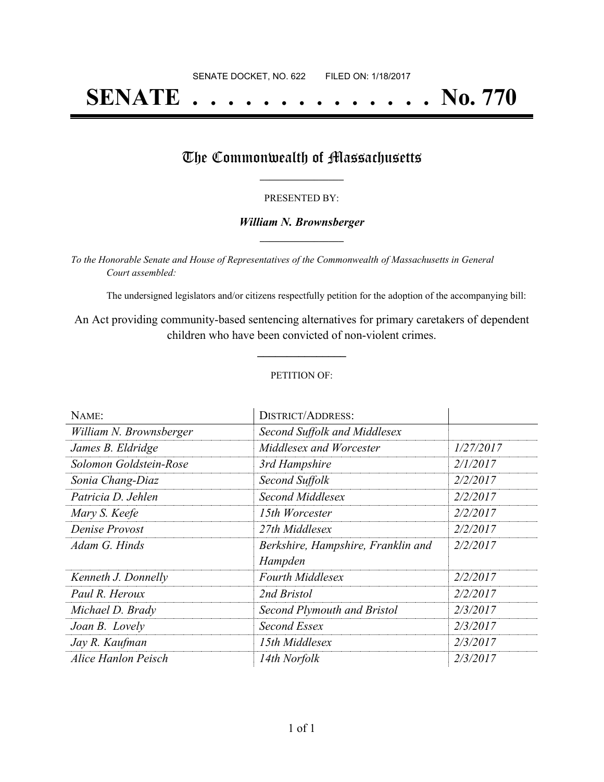# **SENATE . . . . . . . . . . . . . . No. 770**

### The Commonwealth of Massachusetts

#### PRESENTED BY:

#### *William N. Brownsberger* **\_\_\_\_\_\_\_\_\_\_\_\_\_\_\_\_\_**

*To the Honorable Senate and House of Representatives of the Commonwealth of Massachusetts in General Court assembled:*

The undersigned legislators and/or citizens respectfully petition for the adoption of the accompanying bill:

An Act providing community-based sentencing alternatives for primary caretakers of dependent children who have been convicted of non-violent crimes.

**\_\_\_\_\_\_\_\_\_\_\_\_\_\_\_**

#### PETITION OF:

| NAME:                   | <b>DISTRICT/ADDRESS:</b>           |           |
|-------------------------|------------------------------------|-----------|
| William N. Brownsberger | Second Suffolk and Middlesex       |           |
| James B. Eldridge       | Middlesex and Worcester            | 1/27/2017 |
| Solomon Goldstein-Rose  | 3rd Hampshire                      | 2/1/2017  |
| Sonia Chang-Diaz        | Second Suffolk                     | 2/2/2017  |
| Patricia D. Jehlen      | Second Middlesex                   | 2/2/2017  |
| Mary S. Keefe           | 15th Worcester                     | 2/2/2017  |
| Denise Provost          | 27th Middlesex                     | 2/2/2017  |
| Adam G. Hinds           | Berkshire, Hampshire, Franklin and | 2/2/2017  |
|                         | Hampden                            |           |
| Kenneth J. Donnelly     | <b>Fourth Middlesex</b>            | 2/2/2017  |
| Paul R. Heroux          | 2nd Bristol                        | 2/2/2017  |
| Michael D. Brady        | Second Plymouth and Bristol        | 2/3/2017  |
| Joan B. Lovely          | Second Essex                       | 2/3/2017  |
| Jay R. Kaufman          | 15th Middlesex                     | 2/3/2017  |
| Alice Hanlon Peisch     | 14th Norfolk                       | 2/3/2017  |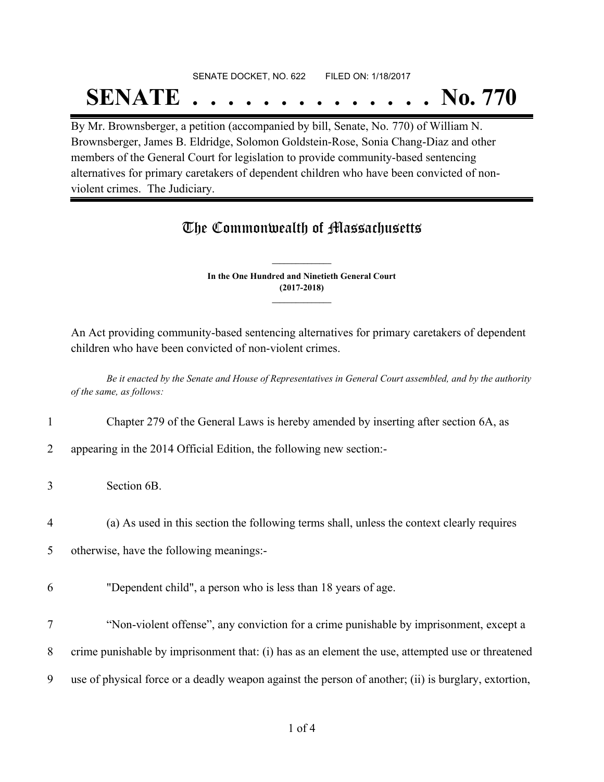## SENATE DOCKET, NO. 622 FILED ON: 1/18/2017 **SENATE . . . . . . . . . . . . . . No. 770**

By Mr. Brownsberger, a petition (accompanied by bill, Senate, No. 770) of William N. Brownsberger, James B. Eldridge, Solomon Goldstein-Rose, Sonia Chang-Diaz and other members of the General Court for legislation to provide community-based sentencing alternatives for primary caretakers of dependent children who have been convicted of nonviolent crimes. The Judiciary.

## The Commonwealth of Massachusetts

**In the One Hundred and Ninetieth General Court (2017-2018) \_\_\_\_\_\_\_\_\_\_\_\_\_\_\_**

**\_\_\_\_\_\_\_\_\_\_\_\_\_\_\_**

An Act providing community-based sentencing alternatives for primary caretakers of dependent children who have been convicted of non-violent crimes.

Be it enacted by the Senate and House of Representatives in General Court assembled, and by the authority *of the same, as follows:*

1 Chapter 279 of the General Laws is hereby amended by inserting after section 6A, as

2 appearing in the 2014 Official Edition, the following new section:-

3 Section 6B.

4 (a) As used in this section the following terms shall, unless the context clearly requires

5 otherwise, have the following meanings:-

- 6 "Dependent child", a person who is less than 18 years of age.
- 7 "Non-violent offense", any conviction for a crime punishable by imprisonment, except a 8 crime punishable by imprisonment that: (i) has as an element the use, attempted use or threatened 9 use of physical force or a deadly weapon against the person of another; (ii) is burglary, extortion,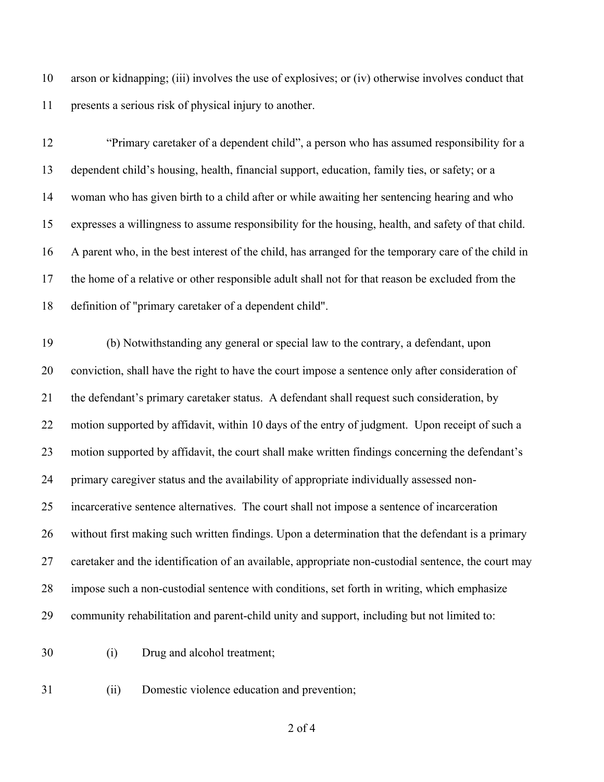arson or kidnapping; (iii) involves the use of explosives; or (iv) otherwise involves conduct that presents a serious risk of physical injury to another.

 "Primary caretaker of a dependent child", a person who has assumed responsibility for a dependent child's housing, health, financial support, education, family ties, or safety; or a woman who has given birth to a child after or while awaiting her sentencing hearing and who expresses a willingness to assume responsibility for the housing, health, and safety of that child. A parent who, in the best interest of the child, has arranged for the temporary care of the child in the home of a relative or other responsible adult shall not for that reason be excluded from the definition of "primary caretaker of a dependent child".

 (b) Notwithstanding any general or special law to the contrary, a defendant, upon conviction, shall have the right to have the court impose a sentence only after consideration of the defendant's primary caretaker status. A defendant shall request such consideration, by motion supported by affidavit, within 10 days of the entry of judgment. Upon receipt of such a motion supported by affidavit, the court shall make written findings concerning the defendant's primary caregiver status and the availability of appropriate individually assessed non- incarcerative sentence alternatives. The court shall not impose a sentence of incarceration without first making such written findings. Upon a determination that the defendant is a primary caretaker and the identification of an available, appropriate non-custodial sentence, the court may impose such a non-custodial sentence with conditions, set forth in writing, which emphasize community rehabilitation and parent-child unity and support, including but not limited to:

(i) Drug and alcohol treatment;

(ii) Domestic violence education and prevention;

of 4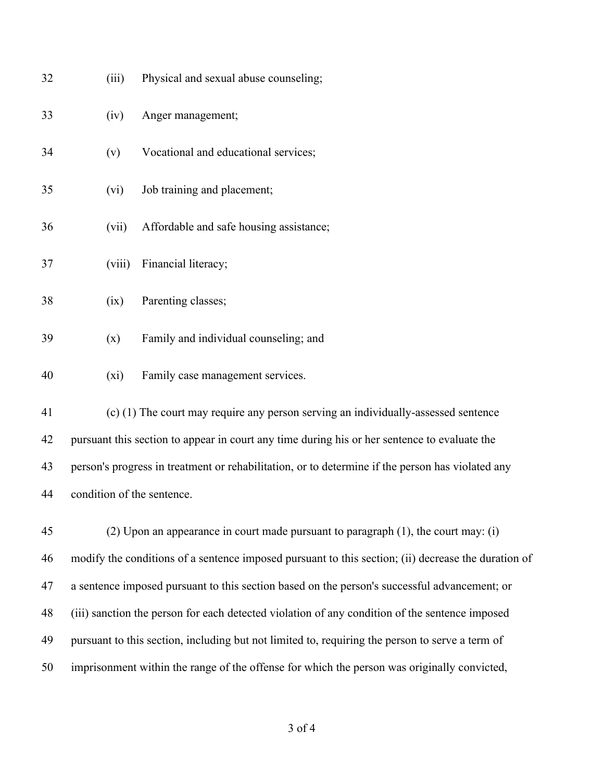| 32                                                                                                 | (iii)                                                                                               | Physical and sexual abuse counseling;                                                            |  |
|----------------------------------------------------------------------------------------------------|-----------------------------------------------------------------------------------------------------|--------------------------------------------------------------------------------------------------|--|
| 33                                                                                                 | (iv)                                                                                                | Anger management;                                                                                |  |
| 34                                                                                                 | (v)                                                                                                 | Vocational and educational services;                                                             |  |
| 35                                                                                                 | (vi)                                                                                                | Job training and placement;                                                                      |  |
| 36                                                                                                 | (vii)                                                                                               | Affordable and safe housing assistance;                                                          |  |
| 37                                                                                                 | (viii)                                                                                              | Financial literacy;                                                                              |  |
| 38                                                                                                 | (ix)                                                                                                | Parenting classes;                                                                               |  |
| 39                                                                                                 | (x)                                                                                                 | Family and individual counseling; and                                                            |  |
| 40                                                                                                 | $(x_i)$                                                                                             | Family case management services.                                                                 |  |
| 41                                                                                                 |                                                                                                     | (c) (1) The court may require any person serving an individually-assessed sentence               |  |
| pursuant this section to appear in court any time during his or her sentence to evaluate the<br>42 |                                                                                                     |                                                                                                  |  |
| 43                                                                                                 |                                                                                                     | person's progress in treatment or rehabilitation, or to determine if the person has violated any |  |
| 44                                                                                                 | condition of the sentence.                                                                          |                                                                                                  |  |
| 45                                                                                                 |                                                                                                     | (2) Upon an appearance in court made pursuant to paragraph $(1)$ , the court may: $(i)$          |  |
| 46                                                                                                 | modify the conditions of a sentence imposed pursuant to this section; (ii) decrease the duration of |                                                                                                  |  |
| 47                                                                                                 | a sentence imposed pursuant to this section based on the person's successful advancement; or        |                                                                                                  |  |

(iii) sanction the person for each detected violation of any condition of the sentence imposed

pursuant to this section, including but not limited to, requiring the person to serve a term of

imprisonment within the range of the offense for which the person was originally convicted,